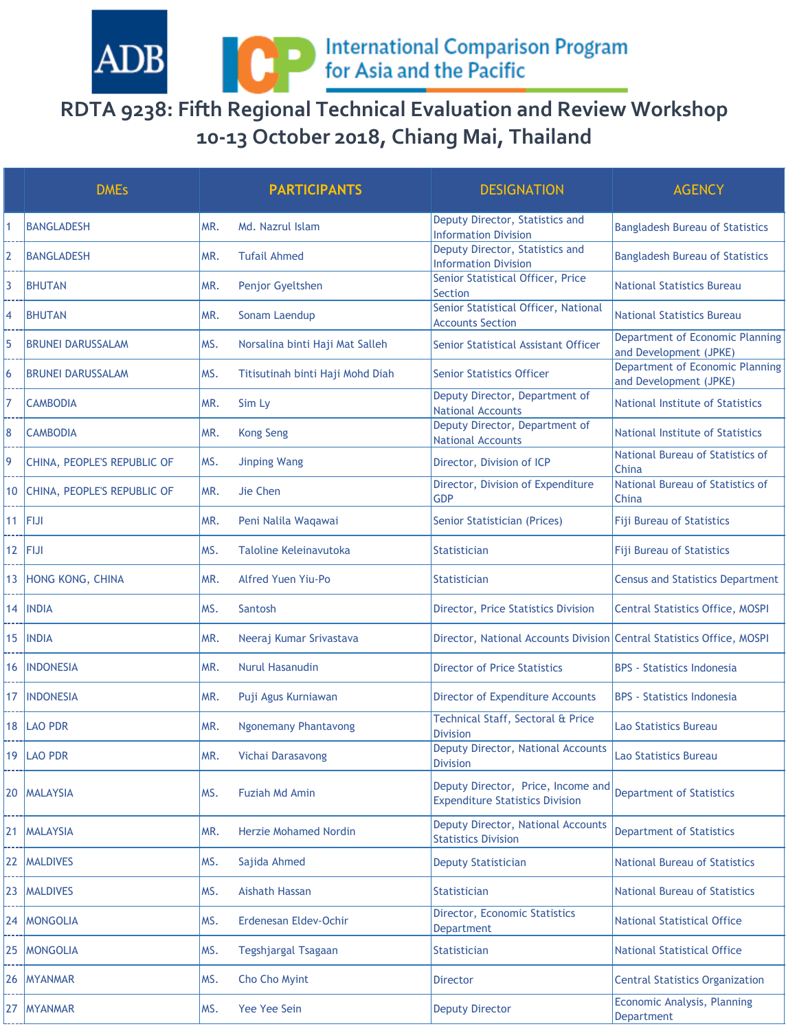International Comparison Program<br>for Asia and the Pacific

## **RDTA 9238: Fifth Regional Technical Evaluation and Review Workshop 10-13 October 2018, Chiang Mai, Thailand**

 $\operatorname{ADB}$ 

|                 | <b>DMEs</b>                 |     | <b>PARTICIPANTS</b>              | <b>DESIGNATION</b>                                                           | <b>AGENCY</b>                                             |
|-----------------|-----------------------------|-----|----------------------------------|------------------------------------------------------------------------------|-----------------------------------------------------------|
|                 | <b>BANGLADESH</b>           | MR. | Md. Nazrul Islam                 | Deputy Director, Statistics and<br><b>Information Division</b>               | <b>Bangladesh Bureau of Statistics</b>                    |
| 2               | <b>BANGLADESH</b>           | MR. | <b>Tufail Ahmed</b>              | Deputy Director, Statistics and<br><b>Information Division</b>               | <b>Bangladesh Bureau of Statistics</b>                    |
| 3               | <b>BHUTAN</b>               | MR. | Penjor Gyeltshen                 | Senior Statistical Officer, Price<br><b>Section</b>                          | <b>National Statistics Bureau</b>                         |
| 4               | <b>BHUTAN</b>               | MR. | Sonam Laendup                    | Senior Statistical Officer, National<br><b>Accounts Section</b>              | <b>National Statistics Bureau</b>                         |
| 5               | <b>BRUNEI DARUSSALAM</b>    | MS. | Norsalina binti Haji Mat Salleh  | Senior Statistical Assistant Officer                                         | Department of Economic Planning<br>and Development (JPKE) |
| 6               | <b>BRUNEI DARUSSALAM</b>    | MS. | Titisutinah binti Haji Mohd Diah | <b>Senior Statistics Officer</b>                                             | Department of Economic Planning<br>and Development (JPKE) |
| 7               | <b>CAMBODIA</b>             | MR. | Sim Ly                           | Deputy Director, Department of<br><b>National Accounts</b>                   | National Institute of Statistics                          |
| 8               | <b>CAMBODIA</b>             | MR. | <b>Kong Seng</b>                 | Deputy Director, Department of<br><b>National Accounts</b>                   | National Institute of Statistics                          |
| 9               | CHINA, PEOPLE'S REPUBLIC OF | MS. | <b>Jinping Wang</b>              | Director, Division of ICP                                                    | National Bureau of Statistics of<br>China                 |
| 10              | CHINA, PEOPLE'S REPUBLIC OF | MR. | Jie Chen                         | Director, Division of Expenditure<br><b>GDP</b>                              | National Bureau of Statistics of<br>China                 |
|                 | $11$ FIJI                   | MR. | Peni Nalila Waqawai              | Senior Statistician (Prices)                                                 | <b>Fiji Bureau of Statistics</b>                          |
| 12 <sub>1</sub> | <b>FIJI</b>                 | MS. | Taloline Keleinavutoka           | <b>Statistician</b>                                                          | <b>Fiji Bureau of Statistics</b>                          |
| 13              | HONG KONG, CHINA            | MR. | Alfred Yuen Yiu-Po               | <b>Statistician</b>                                                          | <b>Census and Statistics Department</b>                   |
| 14              | <b>INDIA</b>                | MS. | Santosh                          | <b>Director, Price Statistics Division</b>                                   | <b>Central Statistics Office, MOSPI</b>                   |
|                 | 15  INDIA                   | MR. | Neeraj Kumar Srivastava          | Director, National Accounts Division Central Statistics Office, MOSPI        |                                                           |
| 16              | <b>INDONESIA</b>            | MR. | <b>Nurul Hasanudin</b>           | <b>Director of Price Statistics</b>                                          | <b>BPS - Statistics Indonesia</b>                         |
| 17              | <b>INDONESIA</b>            | MR. | Puji Agus Kurniawan              | <b>Director of Expenditure Accounts</b>                                      | <b>BPS - Statistics Indonesia</b>                         |
|                 | 18   LAO PDR                | MR. | <b>Ngonemany Phantavong</b>      | Technical Staff, Sectoral & Price<br><b>Division</b>                         | Lao Statistics Bureau                                     |
|                 | 19 LAO PDR                  | MR. | Vichai Darasavong                | Deputy Director, National Accounts<br><b>Division</b>                        | ao Statistics Bureau                                      |
|                 | 20   MALAYSIA               | MS. | <b>Fuziah Md Amin</b>            | Deputy Director, Price, Income and<br><b>Expenditure Statistics Division</b> | <b>Department of Statistics</b>                           |
|                 | 21   MALAYSIA               | MR. | <b>Herzie Mohamed Nordin</b>     | Deputy Director, National Accounts<br><b>Statistics Division</b>             | <b>Department of Statistics</b>                           |
|                 | 22   MALDIVES               | MS. | Sajida Ahmed                     | <b>Deputy Statistician</b>                                                   | <b>National Bureau of Statistics</b>                      |
| 23              | <b>MALDIVES</b>             | MS. | Aishath Hassan                   | <b>Statistician</b>                                                          | <b>National Bureau of Statistics</b>                      |
|                 | 24   MONGOLIA               | MS. | Erdenesan Eldev-Ochir            | Director, Economic Statistics<br>Department                                  | <b>National Statistical Office</b>                        |
| 25              | <b>MONGOLIA</b>             | MS. | Tegshjargal Tsagaan              | <b>Statistician</b>                                                          | <b>National Statistical Office</b>                        |
| 26              | <b>MYANMAR</b>              | MS. | Cho Cho Myint                    | Director                                                                     | <b>Central Statistics Organization</b>                    |
| 27              | <b>MYANMAR</b>              | MS. | Yee Yee Sein                     | <b>Deputy Director</b>                                                       | Economic Analysis, Planning<br>Department                 |